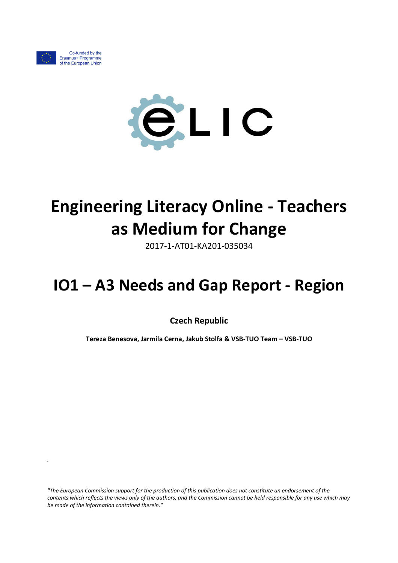

*.*



# **Engineering Literacy Online - Teachers as Medium for Change**

2017-1-AT01-KA201-035034

## **IO1 – A3 Needs and Gap Report - Region**

**Czech Republic**

**Tereza Benesova, Jarmila Cerna, Jakub Stolfa & VSB-TUO Team – VSB-TUO**

*"The European Commission support for the production of this publication does not constitute an endorsement of the contents which reflects the views only of the authors, and the Commission cannot be held responsible for any use which may be made of the information contained therein."*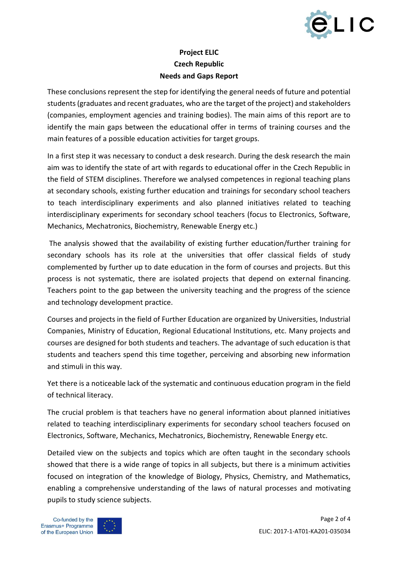

### **Project ELIC Czech Republic Needs and Gaps Report**

These conclusions represent the step for identifying the general needs of future and potential students (graduates and recent graduates, who are the target of the project) and stakeholders (companies, employment agencies and training bodies). The main aims of this report are to identify the main gaps between the educational offer in terms of training courses and the main features of a possible education activities for target groups.

In a first step it was necessary to conduct a desk research. During the desk research the main aim was to identify the state of art with regards to educational offer in the Czech Republic in the field of STEM disciplines. Therefore we analysed competences in regional teaching plans at secondary schools, existing further education and trainings for secondary school teachers to teach interdisciplinary experiments and also planned initiatives related to teaching interdisciplinary experiments for secondary school teachers (focus to Electronics, Software, Mechanics, Mechatronics, Biochemistry, Renewable Energy etc.)

The analysis showed that the availability of existing further education/further training for secondary schools has its role at the universities that offer classical fields of study complemented by further up to date education in the form of courses and projects. But this process is not systematic, there are isolated projects that depend on external financing. Teachers point to the gap between the university teaching and the progress of the science and technology development practice.

Courses and projects in the field of Further Education are organized by Universities, Industrial Companies, Ministry of Education, Regional Educational Institutions, etc. Many projects and courses are designed for both students and teachers. The advantage of such education is that students and teachers spend this time together, perceiving and absorbing new information and stimuli in this way.

Yet there is a noticeable lack of the systematic and continuous education program in the field of technical literacy.

The crucial problem is that teachers have no general information about planned initiatives related to teaching interdisciplinary experiments for secondary school teachers focused on Electronics, Software, Mechanics, Mechatronics, Biochemistry, Renewable Energy etc.

Detailed view on the subjects and topics which are often taught in the secondary schools showed that there is a wide range of topics in all subjects, but there is a minimum activities focused on integration of the knowledge of Biology, Physics, Chemistry, and Mathematics, enabling a comprehensive understanding of the laws of natural processes and motivating pupils to study science subjects.

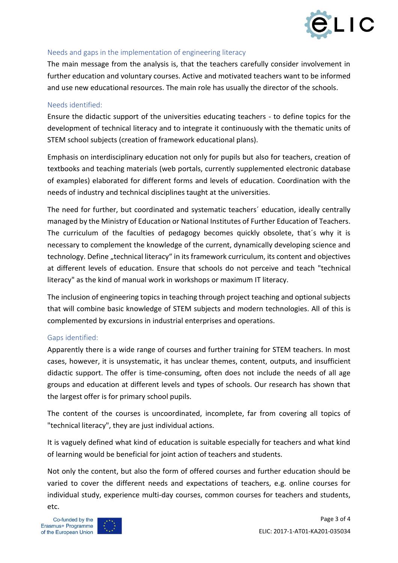

#### Needs and gaps in the implementation of engineering literacy

The main message from the analysis is, that the teachers carefully consider involvement in further education and voluntary courses. Active and motivated teachers want to be informed and use new educational resources. The main role has usually the director of the schools.

#### Needs identified:

Ensure the didactic support of the universities educating teachers - to define topics for the development of technical literacy and to integrate it continuously with the thematic units of STEM school subjects (creation of framework educational plans).

Emphasis on interdisciplinary education not only for pupils but also for teachers, creation of textbooks and teaching materials (web portals, currently supplemented electronic database of examples) elaborated for different forms and levels of education. Coordination with the needs of industry and technical disciplines taught at the universities.

The need for further, but coordinated and systematic teachers´ education, ideally centrally managed by the Ministry of Education or National Institutes of Further Education of Teachers. The curriculum of the faculties of pedagogy becomes quickly obsolete, that´s why it is necessary to complement the knowledge of the current, dynamically developing science and technology. Define "technical literacy" in its framework curriculum, its content and objectives at different levels of education. Ensure that schools do not perceive and teach "technical literacy" as the kind of manual work in workshops or maximum IT literacy.

The inclusion of engineering topics in teaching through project teaching and optional subjects that will combine basic knowledge of STEM subjects and modern technologies. All of this is complemented by excursions in industrial enterprises and operations.

#### Gaps identified:

Apparently there is a wide range of courses and further training for STEM teachers. In most cases, however, it is unsystematic, it has unclear themes, content, outputs, and insufficient didactic support. The offer is time-consuming, often does not include the needs of all age groups and education at different levels and types of schools. Our research has shown that the largest offer is for primary school pupils.

The content of the courses is uncoordinated, incomplete, far from covering all topics of "technical literacy", they are just individual actions.

It is vaguely defined what kind of education is suitable especially for teachers and what kind of learning would be beneficial for joint action of teachers and students.

Not only the content, but also the form of offered courses and further education should be varied to cover the different needs and expectations of teachers, e.g. online courses for individual study, experience multi-day courses, common courses for teachers and students, etc.

Co-funded by the Erasmus+ Programme of the European Union